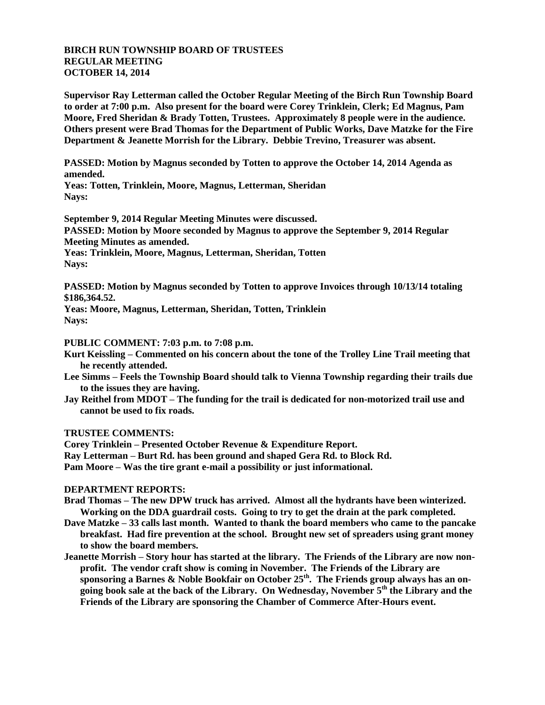## **BIRCH RUN TOWNSHIP BOARD OF TRUSTEES REGULAR MEETING OCTOBER 14, 2014**

**Supervisor Ray Letterman called the October Regular Meeting of the Birch Run Township Board to order at 7:00 p.m. Also present for the board were Corey Trinklein, Clerk; Ed Magnus, Pam Moore, Fred Sheridan & Brady Totten, Trustees. Approximately 8 people were in the audience. Others present were Brad Thomas for the Department of Public Works, Dave Matzke for the Fire Department & Jeanette Morrish for the Library. Debbie Trevino, Treasurer was absent.**

**PASSED: Motion by Magnus seconded by Totten to approve the October 14, 2014 Agenda as amended.**

**Yeas: Totten, Trinklein, Moore, Magnus, Letterman, Sheridan Nays:** 

**September 9, 2014 Regular Meeting Minutes were discussed. PASSED: Motion by Moore seconded by Magnus to approve the September 9, 2014 Regular Meeting Minutes as amended.**

**Yeas: Trinklein, Moore, Magnus, Letterman, Sheridan, Totten Nays:** 

**PASSED: Motion by Magnus seconded by Totten to approve Invoices through 10/13/14 totaling \$186,364.52.**

**Yeas: Moore, Magnus, Letterman, Sheridan, Totten, Trinklein Nays:**

**PUBLIC COMMENT: 7:03 p.m. to 7:08 p.m.**

- **Kurt Keissling – Commented on his concern about the tone of the Trolley Line Trail meeting that he recently attended.**
- **Lee Simms – Feels the Township Board should talk to Vienna Township regarding their trails due to the issues they are having.**
- **Jay Reithel from MDOT – The funding for the trail is dedicated for non-motorized trail use and cannot be used to fix roads.**

**TRUSTEE COMMENTS:**

**Corey Trinklein – Presented October Revenue & Expenditure Report.**

**Ray Letterman – Burt Rd. has been ground and shaped Gera Rd. to Block Rd.**

**Pam Moore – Was the tire grant e-mail a possibility or just informational.**

## **DEPARTMENT REPORTS:**

- **Brad Thomas – The new DPW truck has arrived. Almost all the hydrants have been winterized. Working on the DDA guardrail costs. Going to try to get the drain at the park completed.**
- **Dave Matzke – 33 calls last month. Wanted to thank the board members who came to the pancake breakfast. Had fire prevention at the school. Brought new set of spreaders using grant money to show the board members.**
- **Jeanette Morrish – Story hour has started at the library. The Friends of the Library are now nonprofit. The vendor craft show is coming in November. The Friends of the Library are sponsoring a Barnes & Noble Bookfair on October 25th. The Friends group always has an ongoing book sale at the back of the Library. On Wednesday, November 5th the Library and the Friends of the Library are sponsoring the Chamber of Commerce After-Hours event.**